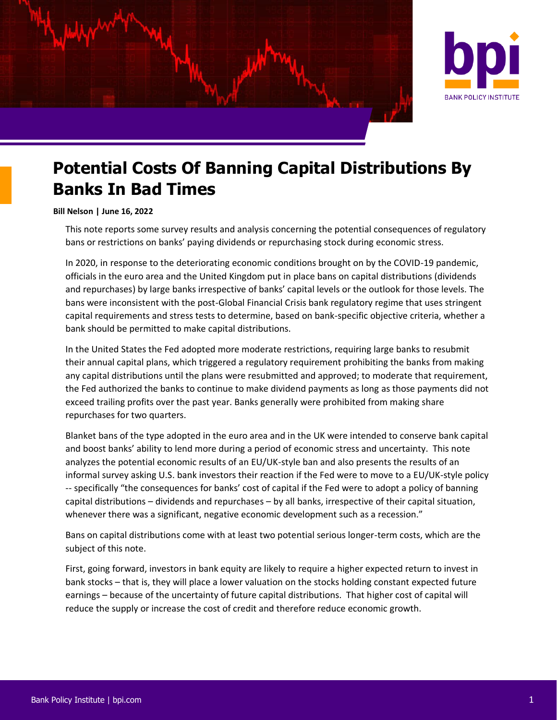



# **Potential Costs Of Banning Capital Distributions By Banks In Bad Times**

#### **Bill Nelson | June 16, 2022**

This note reports some survey results and analysis concerning the potential consequences of regulatory bans or restrictions on banks' paying dividends or repurchasing stock during economic stress.

In 2020, in response to the deteriorating economic conditions brought on by the COVID-19 pandemic, officials in the euro area and the United Kingdom put in place bans on capital distributions (dividends and repurchases) by large banks irrespective of banks' capital levels or the outlook for those levels. The bans were inconsistent with the post-Global Financial Crisis bank regulatory regime that uses stringent capital requirements and stress tests to determine, based on bank-specific objective criteria, whether a bank should be permitted to make capital distributions.

In the United States the Fed adopted more moderate restrictions, requiring large banks to resubmit their annual capital plans, which triggered a regulatory requirement prohibiting the banks from making any capital distributions until the plans were resubmitted and approved; to moderate that requirement, the Fed authorized the banks to continue to make dividend payments as long as those payments did not exceed trailing profits over the past year. Banks generally were prohibited from making share repurchases for two quarters.

Blanket bans of the type adopted in the euro area and in the UK were intended to conserve bank capital and boost banks' ability to lend more during a period of economic stress and uncertainty. This note analyzes the potential economic results of an EU/UK-style ban and also presents the results of an informal survey asking U.S. bank investors their reaction if the Fed were to move to a EU/UK-style policy -- specifically "the consequences for banks' cost of capital if the Fed were to adopt a policy of banning capital distributions – dividends and repurchases – by all banks, irrespective of their capital situation, whenever there was a significant, negative economic development such as a recession."

Bans on capital distributions come with at least two potential serious longer-term costs, which are the subject of this note.

First, going forward, investors in bank equity are likely to require a higher expected return to invest in bank stocks – that is, they will place a lower valuation on the stocks holding constant expected future earnings – because of the uncertainty of future capital distributions. That higher cost of capital will reduce the supply or increase the cost of credit and therefore reduce economic growth.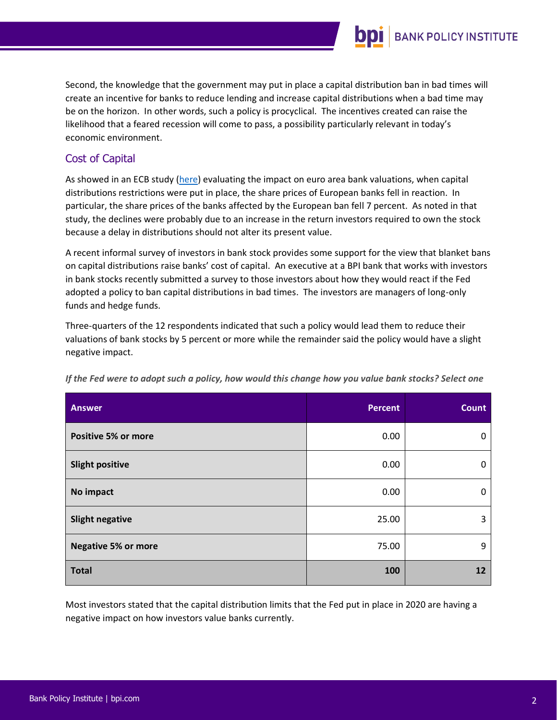

Second, the knowledge that the government may put in place a capital distribution ban in bad times will create an incentive for banks to reduce lending and increase capital distributions when a bad time may be on the horizon. In other words, such a policy is procyclical. The incentives created can raise the likelihood that a feared recession will come to pass, a possibility particularly relevant in today's economic environment.

## Cost of Capital

As showed in an ECB study [\(here\)](https://www.ecb.europa.eu/pub/financial-stability/macroprudential-bulletin/html/ecb.mpbu202106_3~88f86aa6f1.en.html) evaluating the impact on euro area bank valuations, when capital distributions restrictions were put in place, the share prices of European banks fell in reaction. In particular, the share prices of the banks affected by the European ban fell 7 percent. As noted in that study, the declines were probably due to an increase in the return investors required to own the stock because a delay in distributions should not alter its present value.

A recent informal survey of investors in bank stock provides some support for the view that blanket bans on capital distributions raise banks' cost of capital. An executive at a BPI bank that works with investors in bank stocks recently submitted a survey to those investors about how they would react if the Fed adopted a policy to ban capital distributions in bad times. The investors are managers of long-only funds and hedge funds.

Three-quarters of the 12 respondents indicated that such a policy would lead them to reduce their valuations of bank stocks by 5 percent or more while the remainder said the policy would have a slight negative impact.

| <b>Answer</b>              | <b>Percent</b> | <b>Count</b> |
|----------------------------|----------------|--------------|
| <b>Positive 5% or more</b> | 0.00           | 0            |
| <b>Slight positive</b>     | 0.00           | 0            |
| No impact                  | 0.00           | 0            |
| <b>Slight negative</b>     | 25.00          | 3            |
| <b>Negative 5% or more</b> | 75.00          | 9            |
| <b>Total</b>               | 100            | 12           |

*If the Fed were to adopt such a policy, how would this change how you value bank stocks? Select one*

Most investors stated that the capital distribution limits that the Fed put in place in 2020 are having a negative impact on how investors value banks currently.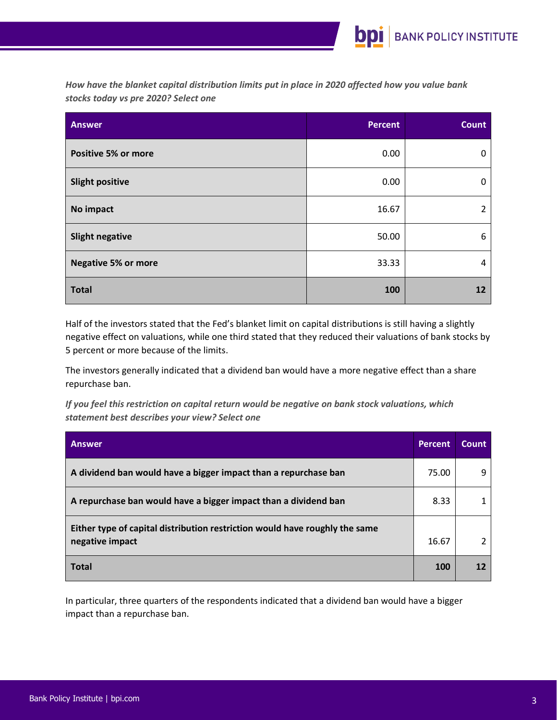*How have the blanket capital distribution limits put in place in 2020 affected how you value bank stocks today vs pre 2020? Select one*

| <b>Answer</b>              | <b>Percent</b> | Count          |
|----------------------------|----------------|----------------|
| <b>Positive 5% or more</b> | 0.00           | 0              |
| <b>Slight positive</b>     | 0.00           | 0              |
| No impact                  | 16.67          | $\overline{2}$ |
| <b>Slight negative</b>     | 50.00          | 6              |
| <b>Negative 5% or more</b> | 33.33          | 4              |
| <b>Total</b>               | 100            | 12             |

Half of the investors stated that the Fed's blanket limit on capital distributions is still having a slightly negative effect on valuations, while one third stated that they reduced their valuations of bank stocks by 5 percent or more because of the limits.

The investors generally indicated that a dividend ban would have a more negative effect than a share repurchase ban.

*If you feel this restriction on capital return would be negative on bank stock valuations, which statement best describes your view? Select one*

| <b>Answer</b>                                                                                  | <b>Percent</b> | <b>Count</b> |
|------------------------------------------------------------------------------------------------|----------------|--------------|
| A dividend ban would have a bigger impact than a repurchase ban                                | 75.00          | q            |
| A repurchase ban would have a bigger impact than a dividend ban                                | 8.33           |              |
| Either type of capital distribution restriction would have roughly the same<br>negative impact | 16.67          |              |
| <b>Total</b>                                                                                   | 100            | 12           |

In particular, three quarters of the respondents indicated that a dividend ban would have a bigger impact than a repurchase ban.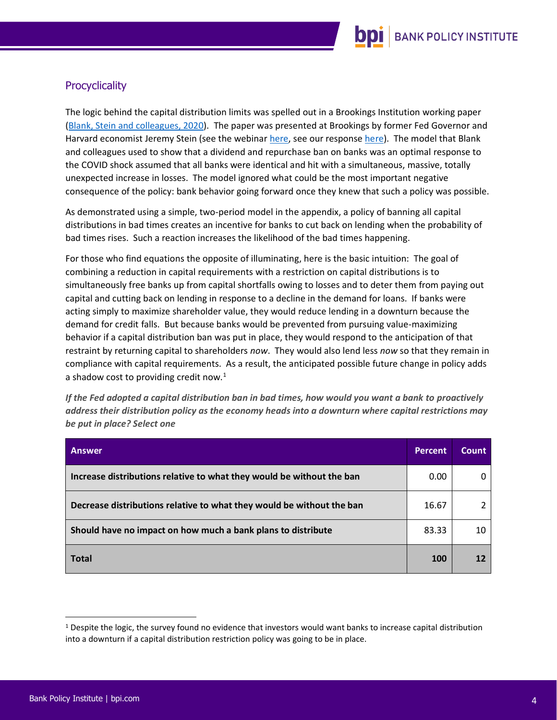

# **Procyclicality**

The logic behind the capital distribution limits was spelled out in a Brookings Institution working paper (Blank, Stein [and colleagues, 2020\)](https://www.brookings.edu/wp-content/uploads/2020/06/WP63_Stein-et-al_FINAL.pdf). The paper was presented at Brookings by former Fed Governor and Harvard economist Jeremy Stein (see the webina[r here,](https://www.brookings.edu/events/webinar-covid-19-and-the-financial-system-how-resilient-are-the-banks-how-are-they-supporting-the-economy/) see our response [here\)](https://bpi.com/a-few-observations-on-professor-steins-remarks-last-week-at-the-brookings-institution/). The model that Blank and colleagues used to show that a dividend and repurchase ban on banks was an optimal response to the COVID shock assumed that all banks were identical and hit with a simultaneous, massive, totally unexpected increase in losses. The model ignored what could be the most important negative consequence of the policy: bank behavior going forward once they knew that such a policy was possible.

As demonstrated using a simple, two-period model in the appendix, a policy of banning all capital distributions in bad times creates an incentive for banks to cut back on lending when the probability of bad times rises. Such a reaction increases the likelihood of the bad times happening.

For those who find equations the opposite of illuminating, here is the basic intuition: The goal of combining a reduction in capital requirements with a restriction on capital distributions is to simultaneously free banks up from capital shortfalls owing to losses and to deter them from paying out capital and cutting back on lending in response to a decline in the demand for loans. If banks were acting simply to maximize shareholder value, they would reduce lending in a downturn because the demand for credit falls. But because banks would be prevented from pursuing value-maximizing behavior if a capital distribution ban was put in place, they would respond to the anticipation of that restraint by returning capital to shareholders *now*. They would also lend less *now* so that they remain in compliance with capital requirements. As a result, the anticipated possible future change in policy adds a shadow cost to providing credit now. $<sup>1</sup>$ </sup>

*If the Fed adopted a capital distribution ban in bad times, how would you want a bank to proactively address their distribution policy as the economy heads into a downturn where capital restrictions may be put in place? Select one*

| <b>Answer</b>                                                         | <b>Percent</b> | Count |
|-----------------------------------------------------------------------|----------------|-------|
| Increase distributions relative to what they would be without the ban | 0.00           |       |
| Decrease distributions relative to what they would be without the ban | 16.67          |       |
| Should have no impact on how much a bank plans to distribute          | 83.33          | 10    |
| <b>Total</b>                                                          | 100            |       |

 $1$  Despite the logic, the survey found no evidence that investors would want banks to increase capital distribution into a downturn if a capital distribution restriction policy was going to be in place.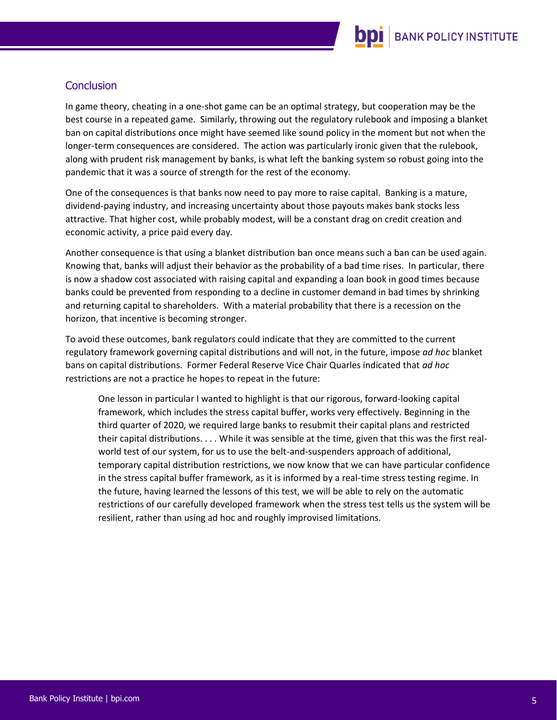

## **Conclusion**

In game theory, cheating in a one-shot game can be an optimal strategy, but cooperation may be the best course in a repeated game. Similarly, throwing out the regulatory rulebook and imposing a blanket ban on capital distributions once might have seemed like sound policy in the moment but not when the longer-term consequences are considered. The action was particularly ironic given that the rulebook, along with prudent risk management by banks, is what left the banking system so robust going into the pandemic that it was a source of strength for the rest of the economy.

One of the consequences is that banks now need to pay more to raise capital. Banking is a mature, dividend-paying industry, and increasing uncertainty about those payouts makes bank stocks less attractive. That higher cost, while probably modest, will be a constant drag on credit creation and economic activity, a price paid every day.

Another consequence is that using a blanket distribution ban once means such a ban can be used again. Knowing that, banks will adjust their behavior as the probability of a bad time rises. In particular, there is now a shadow cost associated with raising capital and expanding a loan book in good times because banks could be prevented from responding to a decline in customer demand in bad times by shrinking and returning capital to shareholders. With a material probability that there is a recession on the horizon, that incentive is becoming stronger.

To avoid these outcomes, bank regulators could indicate that they are committed to the current regulatory framework governing capital distributions and will not, in the future, impose *ad hoc* blanket bans on capital distributions. Former Federal Reserve Vice Chair Quarles indicated that *ad hoc*  restrictions are not a practice he hopes to repeat in the future:

One lesson in particular I wanted to highlight is that our rigorous, forward-looking capital framework, which includes the stress capital buffer, works very effectively. Beginning in the third quarter of 2020, we required large banks to resubmit their capital plans and restricted their capital distributions. . . . While it was sensible at the time, given that this was the first realworld test of our system, for us to use the belt-and-suspenders approach of additional, temporary capital distribution restrictions, we now know that we can have particular confidence in the stress capital buffer framework, as it is informed by a real-time stress testing regime. In the future, having learned the lessons of this test, we will be able to rely on the automatic restrictions of our carefully developed framework when the stress test tells us the system will be resilient, rather than using ad hoc and roughly improvised limitations.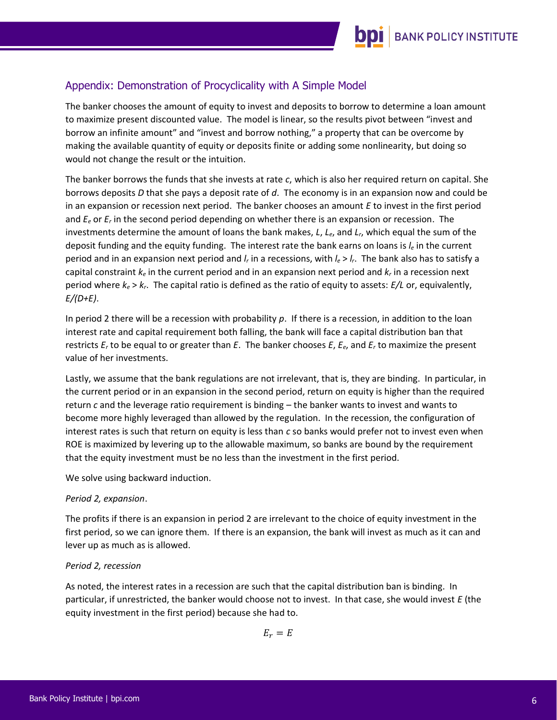# Appendix: Demonstration of Procyclicality with A Simple Model

The banker chooses the amount of equity to invest and deposits to borrow to determine a loan amount to maximize present discounted value. The model is linear, so the results pivot between "invest and borrow an infinite amount" and "invest and borrow nothing," a property that can be overcome by making the available quantity of equity or deposits finite or adding some nonlinearity, but doing so would not change the result or the intuition.

The banker borrows the funds that she invests at rate *c*, which is also her required return on capital. She borrows deposits *D* that she pays a deposit rate of *d*. The economy is in an expansion now and could be in an expansion or recession next period. The banker chooses an amount *E* to invest in the first period and *E<sup>e</sup>* or *E<sup>r</sup>* in the second period depending on whether there is an expansion or recession. The investments determine the amount of loans the bank makes, *L*, *Le*, and *Lr*, which equal the sum of the deposit funding and the equity funding. The interest rate the bank earns on loans is *l<sup>e</sup>* in the current period and in an expansion next period and *l<sup>r</sup>* in a recessions, with *l<sup>e</sup>* > *lr*. The bank also has to satisfy a capital constraint *k<sup>e</sup>* in the current period and in an expansion next period and *k<sup>r</sup>* in a recession next period where *k<sup>e</sup>* > *kr*. The capital ratio is defined as the ratio of equity to assets: *E/L* or, equivalently, *E/(D+E)*.

In period 2 there will be a recession with probability *p*. If there is a recession, in addition to the loan interest rate and capital requirement both falling, the bank will face a capital distribution ban that restricts *E<sup>r</sup>* to be equal to or greater than *E*. The banker chooses *E*, *Ee*, and *E<sup>r</sup>* to maximize the present value of her investments.

Lastly, we assume that the bank regulations are not irrelevant, that is, they are binding. In particular, in the current period or in an expansion in the second period, return on equity is higher than the required return *c* and the leverage ratio requirement is binding – the banker wants to invest and wants to become more highly leveraged than allowed by the regulation. In the recession, the configuration of interest rates is such that return on equity is less than *c* so banks would prefer not to invest even when ROE is maximized by levering up to the allowable maximum, so banks are bound by the requirement that the equity investment must be no less than the investment in the first period.

We solve using backward induction.

### *Period 2, expansion*.

The profits if there is an expansion in period 2 are irrelevant to the choice of equity investment in the first period, so we can ignore them. If there is an expansion, the bank will invest as much as it can and lever up as much as is allowed.

### *Period 2, recession*

As noted, the interest rates in a recession are such that the capital distribution ban is binding. In particular, if unrestricted, the banker would choose not to invest. In that case, she would invest *E* (the equity investment in the first period) because she had to.

 $E_r = E$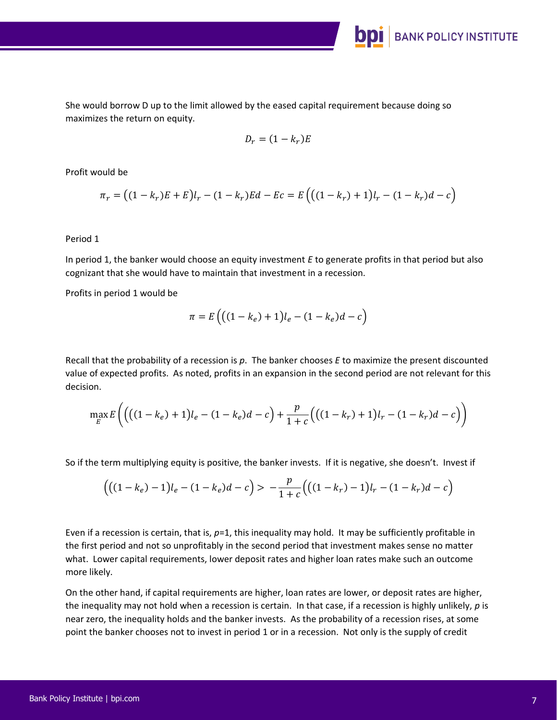She would borrow D up to the limit allowed by the eased capital requirement because doing so maximizes the return on equity.

$$
D_r = (1 - k_r)E
$$

**BANK POLICY INSTITUTE** 

Profit would be

$$
\pi_r = ((1 - k_r)E + E)l_r - (1 - k_r)Ed - Ec = E((1 - k_r) + 1)l_r - (1 - k_r)d - c)
$$

Period 1

In period 1, the banker would choose an equity investment *E* to generate profits in that period but also cognizant that she would have to maintain that investment in a recession.

Profits in period 1 would be

$$
\pi = E((1 - k_e) + 1)l_e - (1 - k_e)d - c)
$$

Recall that the probability of a recession is *p*. The banker chooses *E* to maximize the present discounted value of expected profits. As noted, profits in an expansion in the second period are not relevant for this decision.

$$
\max_{E} E\left( \left( \left( (1 - k_e) + 1 \right) l_e - (1 - k_e) d - c \right) + \frac{p}{1 + c} \left( \left( (1 - k_r) + 1 \right) l_r - (1 - k_r) d - c \right) \right)
$$

So if the term multiplying equity is positive, the banker invests. If it is negative, she doesn't. Invest if

$$
\left( \left( (1 - k_e) - 1 \right) l_e - (1 - k_e) d - c \right) > -\frac{p}{1 + c} \left( \left( (1 - k_r) - 1 \right) l_r - (1 - k_r) d - c \right)
$$

Even if a recession is certain, that is, *p*=1, this inequality may hold. It may be sufficiently profitable in the first period and not so unprofitably in the second period that investment makes sense no matter what. Lower capital requirements, lower deposit rates and higher loan rates make such an outcome more likely.

On the other hand, if capital requirements are higher, loan rates are lower, or deposit rates are higher, the inequality may not hold when a recession is certain. In that case, if a recession is highly unlikely, *p* is near zero, the inequality holds and the banker invests. As the probability of a recession rises, at some point the banker chooses not to invest in period 1 or in a recession. Not only is the supply of credit